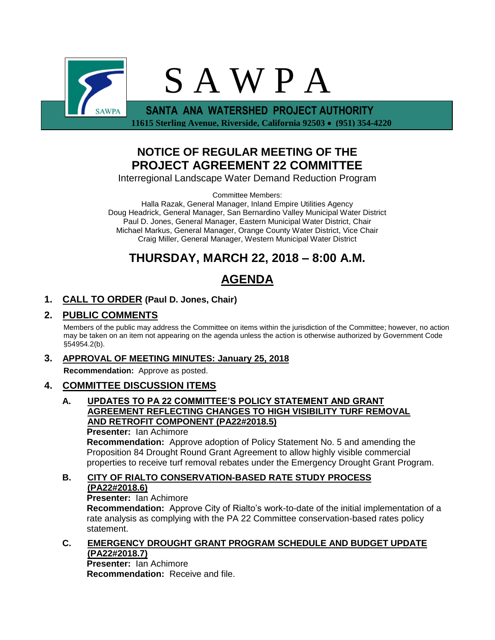

 **11615 Sterling Avenue, Riverside, California 92503 (951) 354-4220**

# **NOTICE OF REGULAR MEETING OF THE PROJECT AGREEMENT 22 COMMITTEE**

Interregional Landscape Water Demand Reduction Program

Committee Members:

Halla Razak, General Manager, Inland Empire Utilities Agency Doug Headrick, General Manager, San Bernardino Valley Municipal Water District Paul D. Jones, General Manager, Eastern Municipal Water District, Chair Michael Markus, General Manager, Orange County Water District, Vice Chair Craig Miller, General Manager, Western Municipal Water District

# **THURSDAY, MARCH 22, 2018 – 8:00 A.M.**

# **AGENDA**

## **1. CALL TO ORDER (Paul D. Jones, Chair)**

### **2. PUBLIC COMMENTS**

Members of the public may address the Committee on items within the jurisdiction of the Committee; however, no action may be taken on an item not appearing on the agenda unless the action is otherwise authorized by Government Code §54954.2(b).

## **3. APPROVAL OF MEETING MINUTES: January 25, 2018**

**Recommendation:** Approve as posted.

## **4. COMMITTEE DISCUSSION ITEMS**

#### **A. UPDATES TO PA 22 COMMITTEE'S POLICY STATEMENT AND GRANT AGREEMENT REFLECTING CHANGES TO HIGH VISIBILITY TURF REMOVAL AND RETROFIT COMPONENT (PA22#2018.5)**

**Presenter:** Ian Achimore **Recommendation:** Approve adoption of Policy Statement No. 5 and amending the Proposition 84 Drought Round Grant Agreement to allow highly visible commercial properties to receive turf removal rebates under the Emergency Drought Grant Program.

## **B. CITY OF RIALTO CONSERVATION-BASED RATE STUDY PROCESS (PA22#2018.6)**

**Presenter:** Ian Achimore

**Recommendation:** Approve City of Rialto's work-to-date of the initial implementation of a rate analysis as complying with the PA 22 Committee conservation-based rates policy statement.

#### **C. EMERGENCY DROUGHT GRANT PROGRAM SCHEDULE AND BUDGET UPDATE (PA22#2018.7)**

**Presenter:** Ian Achimore **Recommendation:** Receive and file.